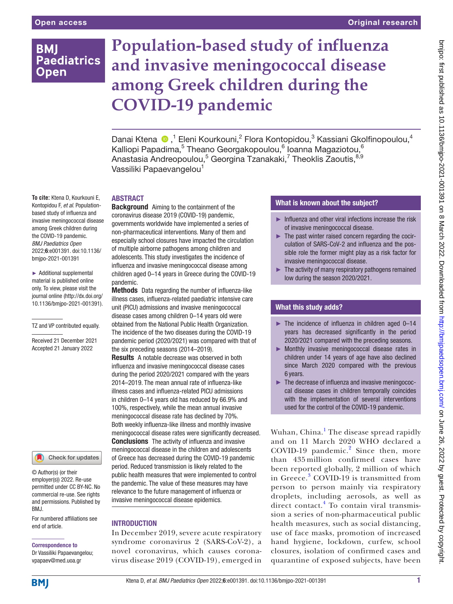# **BMI Paediatrics Open**

# **Population-based study of influenza and invasive meningococcal disease among Greek children during the COVID-19 pandemic**

Danai Ktena  $\bigcirc$ ,<sup>1</sup> Eleni Kourkouni,<sup>2</sup> Flora Kontopidou,<sup>3</sup> Kassiani Gkolfinopoulou,<sup>4</sup> Kalliopi Papadima, $^5$  Theano Georgakopoulou, $^6$  Ioanna Magaziotou, $^6$ Anastasia Andreopoulou,<sup>5</sup> Georgina Tzanakaki,<sup>7</sup> Theoklis Zaoutis,<sup>8,9</sup> Vassiliki Papaevangelou<sup>1</sup>

## **ABSTRACT**

**To cite:** Ktena D, Kourkouni E, Kontopidou F, *et al*. Populationbased study of influenza and invasive meningococcal disease among Greek children during the COVID-19 pandemic. *BMJ Paediatrics Open* 2022;6:e001391. doi:10.1136/ bmjpo-2021-001391

► Additional supplemental material is published online only. To view, please visit the journal online ([http://dx.doi.org/](http://dx.doi.org/10.1136/bmjpo-2021-001391) [10.1136/bmjpo-2021-001391\)](http://dx.doi.org/10.1136/bmjpo-2021-001391).

TZ and VP contributed equally.

Received 21 December 2021 Accepted 21 January 2022

#### Check for updates

© Author(s) (or their employer(s)) 2022. Re-use permitted under CC BY-NC. No commercial re-use. See rights and permissions. Published by BMJ.

For numbered affiliations see end of article.

## Correspondence to

Dr Vassiliki Papaevangelou; vpapaev@med.uoa.gr

**Background** Aiming to the containment of the coronavirus disease 2019 (COVID-19) pandemic, governments worldwide have implemented a series of non-pharmaceutical interventions. Many of them and especially school closures have impacted the circulation of multiple airborne pathogens among children and adolescents. This study investigates the incidence of influenza and invasive meningococcal disease among children aged 0–14 years in Greece during the COVID-19 pandemic.

Methods Data regarding the number of influenza-like illness cases, influenza-related paediatric intensive care unit (PICU) admissions and invasive meningococcal disease cases among children 0–14 years old were obtained from the National Public Health Organization. The incidence of the two diseases during the COVID-19 pandemic period (2020/2021) was compared with that of the six preceding seasons (2014–2019).

Results A notable decrease was observed in both influenza and invasive meningococcal disease cases during the period 2020/2021 compared with the years 2014–2019. The mean annual rate of influenza-like illness cases and influenza-related PICU admissions in children 0–14 years old has reduced by 66.9% and 100%, respectively, while the mean annual invasive meningococcal disease rate has declined by 70%. Both weekly influenza-like illness and monthly invasive meningococcal disease rates were significantly decreased. **Conclusions** The activity of influenza and invasive meningococcal disease in the children and adolescents of Greece has decreased during the COVID-19 pandemic period. Reduced transmission is likely related to the public health measures that were implemented to control the pandemic. The value of these measures may have relevance to the future management of influenza or invasive meningococcal disease epidemics.

#### INTRODUCTION

In December 2019, severe acute respiratory syndrome coronavirus 2 (SARS-CoV-2), a novel coronavirus, which causes coronavirus disease 2019 (COVID-19), emerged in

# What is known about the subject?

- ► Influenza and other viral infections increase the risk of invasive meningococcal disease.
- ► The past winter raised concern regarding the cocirculation of SARS-CoV-2 and influenza and the possible role the former might play as a risk factor for invasive meningococcal disease.
- $\blacktriangleright$  The activity of many respiratory pathogens remained low during the season 2020/2021.

## What this study adds?

- $\blacktriangleright$  The incidence of influenza in children aged 0–14 years has decreased significantly in the period 2020/2021 compared with the preceding seasons.
- ► Monthly invasive meningococcal disease rates in children under 14 years of age have also declined since March 2020 compared with the previous 6 years.
- ► The decrease of influenza and invasive meningococcal disease cases in children temporally coincides with the implementation of several interventions used for the control of the COVID-19 pandemic.

Wuhan, China.<sup>1</sup> The disease spread rapidly and on 11 March 2020 WHO declared a COVID-19 pandemic.<sup>2</sup> Since then, more than 435 million confirmed cases have been reported globally, 2 million of which in Greece.<sup>3</sup> COVID-19 is transmitted from person to person mainly via respiratory droplets, including aerosols, as well as direct contact.<sup>4</sup> To contain viral transmission a series of non-pharmaceutical public health measures, such as social distancing, use of face masks, promotion of increased hand hygiene, lockdown, curfew, school closures, isolation of confirmed cases and quarantine of exposed subjects, have been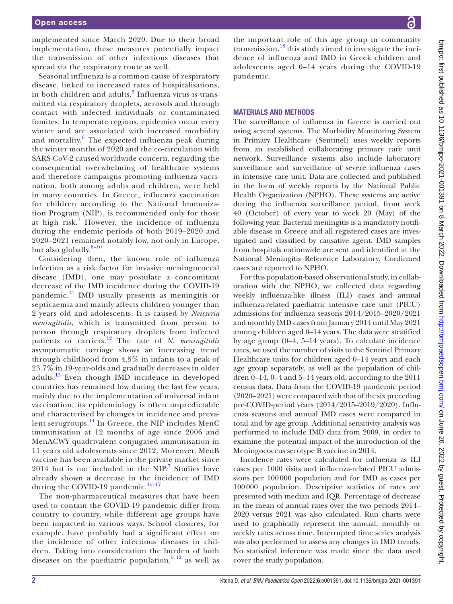implemented since March 2020. Due to their broad implementation, these measures potentially impact the transmission of other infectious diseases that spread via the respiratory route as well.

Seasonal influenza is a common cause of respiratory disease, linked to increased rates of hospitalisations, in both children and adults.<sup>5</sup> Influenza virus is transmitted via respiratory droplets, aerosols and through contact with infected individuals or contaminated fomites. In temperate regions, epidemics occur every winter and are associated with increased morbidity and mortality.<sup>6</sup> The expected influenza peak during the winter months of 2020 and the co-circulation with SARS-CoV-2 caused worldwide concern, regarding the consequential overwhelming of healthcare systems and therefore campaigns promoting influenza vaccination, both among adults and children, were held in many countries. In Greece, influenza vaccination for children according to the National Immunization Program (NIP), is recommended only for those at high risk.<sup>7</sup> However, the incidence of influenza during the endemic periods of both 2019–2020 and 2020–2021 remained notably low, not only in Europe, but also globally. $8-10$ 

Considering then, the known role of influenza infection as a risk factor for invasive meningococcal disease (IMD), one may postulate a concomitant decrease of the IMD incidence during the COVID-19 pandemic.[11](#page-5-1) IMD usually presents as meningitis or septicaemia and mainly affects children younger than 2 years old and adolescents. It is caused by *Neisseria meningitidis*, which is transmitted from person to person through respiratory droplets from infected patients or carriers.[12](#page-5-2) The rate of *N. meningitidis* asymptomatic carriage shows an increasing trend through childhood from 4.5% in infants to a peak of 23.7% in 19-year-olds and gradually decreases in older adults.[13](#page-5-3) Even though IMD incidence in developed countries has remained low during the last few years, mainly due to the implementation of universal infant vaccination, its epidemiology is often unpredictable and characterised by changes in incidence and prevalent serogroups.<sup>14</sup> In Greece, the NIP includes MenC immunisation at 12 months of age since 2006 and MenACWY quadrivalent conjugated immunisation in 11 years old adolescents since 2012. Moreover, MenB vaccine has been available in the private market since  $2014$  but is not included in the NIP.<sup>[7](#page-5-5)</sup> Studies have already shown a decrease in the incidence of IMD during the COVID-19 pandemic.<sup>15-17</sup>

The non-pharmaceutical measures that have been used to contain the COVID-19 pandemic differ from country to country, while different age groups have been impacted in various ways. School closures, for example, have probably had a significant effect on the incidence of other infectious diseases in children. Taking into consideration the burden of both diseases on the paediatric population,  $5^{12}$  as well as

the important role of this age group in community transmission, $^{18}$  $^{18}$  $^{18}$  this study aimed to investigate the incidence of influenza and IMD in Greek children and adolescents aged 0–14 years during the COVID-19 pandemic.

#### MATERIALS AND METHODS

The surveillance of influenza in Greece is carried out using several systems. The Morbidity Monitoring System in Primary Healthcare (Sentinel) uses weekly reports from an established collaborating primary care unit network. Surveillance systems also include laboratory surveillance and surveillance of severe influenza cases in intensive care unit. Data are collected and published in the form of weekly reports by the National Public Health Organization (NPHO). These systems are active during the influenza surveillance period, from week 40 (October) of every year to week 20 (May) of the following year. Bacterial meningitis is a mandatory notifiable disease in Greece and all registered cases are investigated and classified by causative agent. IMD samples from hospitals nationwide are sent and identified at the National Meningitis Reference Laboratory. Confirmed cases are reported to NPHO.

For this population-based observational study, in collaboration with the NPHO, we collected data regarding weekly influenza-like illness (ILI) cases and annual influenza-related paediatric intensive care unit (PICU) admissions for influenza seasons 2014/2015–2020/2021 and monthly IMD cases from January 2014 until May 2021 among children aged 0–14 years. The data were stratified by age group (0–4, 5–14 years). To calculate incidence rates, we used the number of visits to the Sentinel Primary Healthcare units for children aged 0–14 years and each age group separately, as well as the population of children 0–14, 0–4 and 5–14 years old, according to the 2011 census data. Data from the COVID-19 pandemic period (2020–2021) were compared with that of the six preceding pre-COVID-period years (2014/2015–2019/2020). Influenza seasons and annual IMD cases were compared in total and by age group. Additional sensitivity analysis was performed to include IMD data from 2009, in order to examine the potential impact of the introduction of the Meningococcus serotype B vaccine in 2014.

Incidence rates were calculated for influenza as ILI cases per 1000 visits and influenza-related PICU admissions per 100000 population and for IMD as cases per 100000 population. Descriptive statistics of rates are presented with median and IQR. Percentage of decrease in the mean of annual rates over the two periods 2014– 2020 versus 2021 was also calculated. Run charts were used to graphically represent the annual, monthly or weekly rates across time. Interrupted time series analysis was also performed to assess any changes in IMD trends. No statistical inference was made since the data used cover the study population.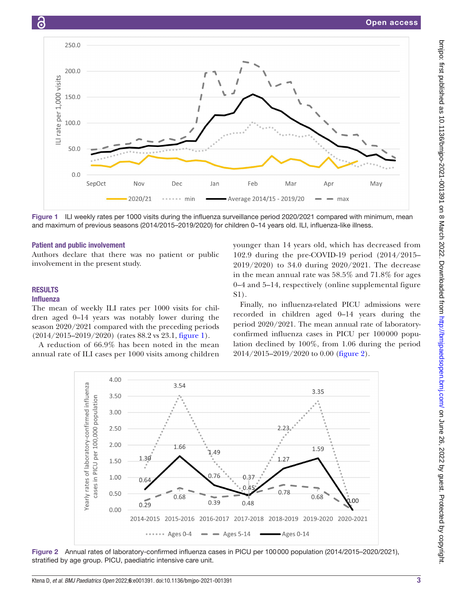

<span id="page-2-0"></span>Figure 1 ILI weekly rates per 1000 visits during the influenza surveillance period 2020/2021 compared with minimum, mean and maximum of previous seasons (2014/2015–2019/2020) for children 0–14 years old. ILI, influenza-like illness.

#### Patient and public involvement

Authors declare that there was no patient or public involvement in the present study.

# RESULTS

6

#### Influenza

The mean of weekly ILI rates per 1000 visits for children aged 0–14 years was notably lower during the season 2020/2021 compared with the preceding periods  $(2014/2015-2019/2020)$  (rates 88.2 vs 23.1, [figure](#page-2-0) 1).

A reduction of 66.9% has been noted in the mean annual rate of ILI cases per 1000 visits among children younger than 14 years old, which has decreased from 102.9 during the pre-COVID-19 period (2014/2015– 2019/2020) to 34.0 during 2020/2021. The decrease in the mean annual rate was 58.5% and 71.8% for ages 0–4 and 5–14, respectively ([online supplemental figure](https://dx.doi.org/10.1136/bmjpo-2021-001391) [S1\)](https://dx.doi.org/10.1136/bmjpo-2021-001391).

Finally, no influenza-related PICU admissions were recorded in children aged 0–14 years during the period 2020/2021. The mean annual rate of laboratoryconfirmed influenza cases in PICU per 100000 population declined by 100%, from 1.06 during the period 2014/2015–2019/2020 to 0.00 ([figure](#page-2-1) 2).



<span id="page-2-1"></span>Figure 2 Annual rates of laboratory-confirmed influenza cases in PICU per 100000 population (2014/2015–2020/2021), stratified by age group. PICU, paediatric intensive care unit.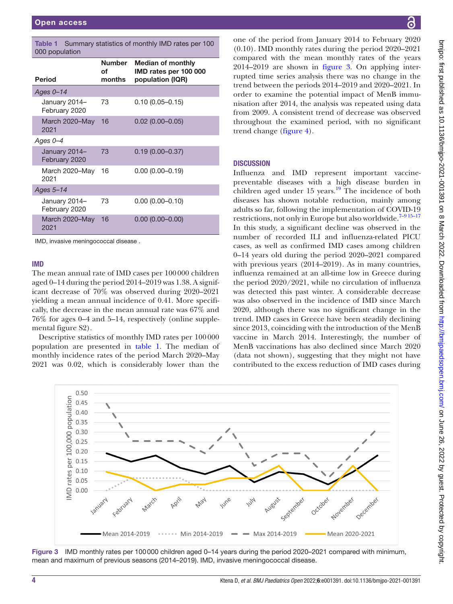<span id="page-3-0"></span>

| Summary statistics of monthly IMD rates per 100<br>Table 1<br>000 population |                        |                                                                       |
|------------------------------------------------------------------------------|------------------------|-----------------------------------------------------------------------|
| <b>Period</b>                                                                | Number<br>of<br>months | <b>Median of monthly</b><br>IMD rates per 100 000<br>population (IQR) |
| Ages $0 - 14$                                                                |                        |                                                                       |
| January 2014-<br>February 2020                                               | 73                     | $0.10(0.05 - 0.15)$                                                   |
| March 2020–May<br>2021                                                       | 16                     | $0.02$ (0.00-0.05)                                                    |
| Ages $0 - 4$                                                                 |                        |                                                                       |
| January 2014-<br>February 2020                                               | 73                     | $0.19(0.00 - 0.37)$                                                   |
| March 2020–May<br>2021                                                       | 16                     | $0.00(0.00 - 0.19)$                                                   |
| Ages $5-14$                                                                  |                        |                                                                       |
| January 2014-<br>February 2020                                               | 73                     | $0.00(0.00 - 0.10)$                                                   |
| March 2020-May<br>2021                                                       | 16                     | $0.00(0.00 - 0.00)$                                                   |

IMD, invasive meningococcal disease .

#### IMD

The mean annual rate of IMD cases per 100000 children aged 0–14 during the period 2014–2019 was 1.38. A significant decrease of 70% was observed during 2020–2021 yielding a mean annual incidence of 0.41. More specifically, the decrease in the mean annual rate was 67% and 76% for ages 0–4 and 5–14, respectively ([online supple](https://dx.doi.org/10.1136/bmjpo-2021-001391)[mental figure S2](https://dx.doi.org/10.1136/bmjpo-2021-001391)).

Descriptive statistics of monthly IMD rates per 100000 population are presented in [table](#page-3-0) 1. The median of monthly incidence rates of the period March 2020–May 2021 was 0.02, which is considerably lower than the

one of the period from January 2014 to February 2020 (0.10). IMD monthly rates during the period 2020–2021 compared with the mean monthly rates of the years 2014–2019 are shown in [figure](#page-3-1) 3. On applying interrupted time series analysis there was no change in the trend between the periods 2014–2019 and 2020–2021. In order to examine the potential impact of MenB immunisation after 2014, the analysis was repeated using data from 2009. A consistent trend of decrease was observed throughout the examined period, with no significant trend change [\(figure](#page-4-0) 4).

#### **DISCUSSION**

Influenza and IMD represent important vaccinepreventable diseases with a high disease burden in children aged under  $15$  years.<sup>19</sup> The incidence of both diseases has shown notable reduction, mainly among adults so far, following the implementation of COVID-19 restrictions, not only in Europe but also worldwide.<sup>7-915-17</sup> In this study, a significant decline was observed in the number of recorded ILI and influenza-related PICU cases, as well as confirmed IMD cases among children 0–14 years old during the period 2020–2021 compared with previous years (2014–2019). As in many countries, influenza remained at an all-time low in Greece during the period 2020/2021, while no circulation of influenza was detected this past winter. A considerable decrease was also observed in the incidence of IMD since March 2020, although there was no significant change in the trend. IMD cases in Greece have been steadily declining since 2013, coinciding with the introduction of the MenB vaccine in March 2014. Interestingly, the number of MenB vaccinations has also declined since March 2020 (data not shown), suggesting that they might not have contributed to the excess reduction of IMD cases during



<span id="page-3-1"></span>Figure 3 IMD monthly rates per 100000 children aged 0-14 years during the period 2020-2021 compared with minimum, mean and maximum of previous seasons (2014–2019). IMD, invasive meningococcal disease.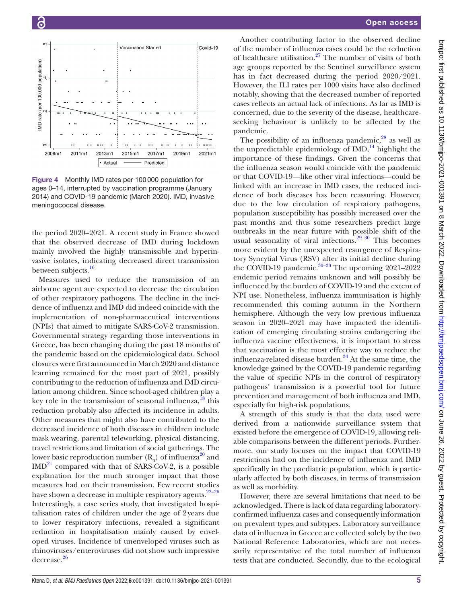

<span id="page-4-0"></span>Figure 4 Monthly IMD rates per 100000 population for ages 0–14, interrupted by vaccination programme (January 2014) and COVID-19 pandemic (March 2020). IMD, invasive meningococcal disease.

the period 2020–2021. Α recent study in France showed that the observed decrease of IMD during lockdown mainly involved the highly transmissible and hyperinvasive isolates, indicating decreased direct transmission between subjects.<sup>16</sup>

Measures used to reduce the transmission of an airborne agent are expected to decrease the circulation of other respiratory pathogens. The decline in the incidence of influenza and IMD did indeed coincide with the implementation of non-pharmaceutical interventions (NPIs) that aimed to mitigate SARS-CoV-2 transmission. Governmental strategy regarding those interventions in Greece, has been changing during the past 18 months of the pandemic based on the epidemiological data. School closures were first announced in March 2020 and distance learning remained for the most part of 2021, possibly contributing to the reduction of influenza and IMD circulation among children. Since school-aged children play a key role in the transmission of seasonal influenza, $18$  this reduction probably also affected its incidence in adults. Other measures that might also have contributed to the decreased incidence of both diseases in children include mask wearing, parental teleworking, physical distancing, travel restrictions and limitation of social gatherings. The lower basic reproduction number  $(R_0)$  of influenza<sup>[20](#page-6-2)</sup> and  $IMD<sup>21</sup>$  compared with that of SARS-CoV-2, is a possible explanation for the much stronger impact that those measures had on their transmission. Few recent studies have shown a decrease in multiple respiratory agents.<sup>22–26</sup> Interestingly, a case series study, that investigated hospitalisation rates of children under the age of 2years due to lower respiratory infections, revealed a significant reduction in hospitalisation mainly caused by enveloped viruses. Incidence of unenveloped viruses such as rhinoviruses/enteroviruses did not show such impressive decrease.<sup>[26](#page-6-5)</sup>

Another contributing factor to the observed decline of the number of influenza cases could be the reduction of healthcare utilisation.<sup>27</sup> The number of visits of both age groups reported by the Sentinel surveillance system has in fact decreased during the period 2020/2021. However, the ILI rates per 1000 visits have also declined notably, showing that the decreased number of reported cases reflects an actual lack of infections. As far as IMD is concerned, due to the severity of the disease, healthcareseeking behaviour is unlikely to be affected by the pandemic.

The possibility of an influenza pandemic, $28$  as well as the unpredictable epidemiology of  $IMD<sub>14</sub><sup>14</sup>$  highlight the importance of these findings. Given the concerns that the influenza season would coincide with the pandemic or that COVID-19—like other viral infections—could be linked with an increase in IMD cases, the reduced incidence of both diseases has been reassuring. However, due to the low circulation of respiratory pathogens, population susceptibility has possibly increased over the past months and thus some researchers predict large outbreaks in the near future with possible shift of the usual seasonality of viral infections.<sup>[29 30](#page-6-8)</sup> This becomes more evident by the unexpected resurgence of Respiratory Syncytial Virus (RSV) after its initial decline during the COVID-19 pandemic. $30-33$  The upcoming 2021–2022 endemic period remains unknown and will possibly be influenced by the burden of COVID-19 and the extent of NPI use. Nonetheless, influenza immunisation is highly recommended this coming autumn in the Northern hemisphere. Although the very low previous influenza season in 2020–2021 may have impacted the identification of emerging circulating strains endangering the influenza vaccine effectiveness, it is important to stress that vaccination is the most effective way to reduce the influenza-related disease burden. $34$  At the same time, the knowledge gained by the COVID-19 pandemic regarding the value of specific NPIs in the control of respiratory pathogens' transmission is a powerful tool for future prevention and management of both influenza and IMD, especially for high-risk populations.

A strength of this study is that the data used were derived from a nationwide surveillance system that existed before the emergence of COVID-19, allowing reliable comparisons between the different periods. Furthermore, our study focuses on the impact that COVID-19 restrictions had on the incidence of influenza and IMD specifically in the paediatric population, which is particularly affected by both diseases, in terms of transmission as well as morbidity.

However, there are several limitations that need to be acknowledged. There is lack of data regarding laboratoryconfirmed influenza cases and consequently information on prevalent types and subtypes. Laboratory surveillance data of influenza in Greece are collected solely by the two National Reference Laboratories, which are not necessarily representative of the total number of influenza tests that are conducted. Secondly, due to the ecological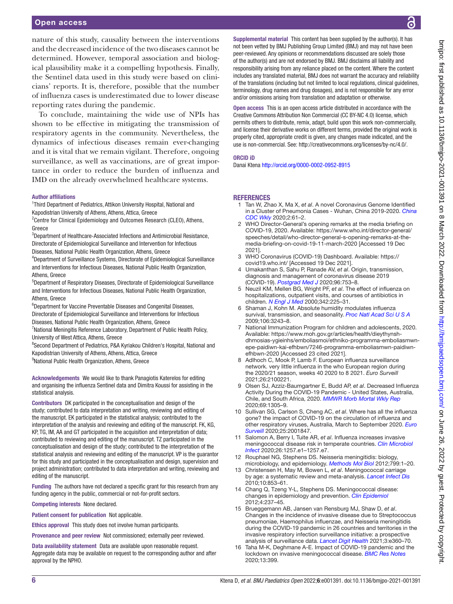#### Open access

nature of this study, causality between the interventions and the decreased incidence of the two diseases cannot be determined. However, temporal association and biological plausibility make it a compelling hypothesis. Finally, the Sentinel data used in this study were based on clinicians' reports. It is, therefore, possible that the number of influenza cases is underestimated due to lower disease reporting rates during the pandemic.

To conclude, maintaining the wide use of NPIs has shown to be effective in mitigating the transmission of respiratory agents in the community. Nevertheless, the dynamics of infectious diseases remain ever-changing and it is vital that we remain vigilant. Therefore, ongoing surveillance, as well as vaccinations, are of great importance in order to reduce the burden of influenza and IMD on the already overwhelmed healthcare systems.

#### Author affiliations

<sup>1</sup>Third Department of Pediatrics, Attikon University Hospital, National and Kapodistrian University of Athens, Athens, Attica, Greece

- <sup>2</sup> Centre for Clinical Epidemiology and Outcomes Research (CLEO), Athens, Greece
- <sup>3</sup>Department of Healthcare-Associated Infections and Antimicrobial Resistance, Directorate of Epidemiological Surveillance and Intervention for Infectious Diseases, National Public Health Organization, Athens, Greece
- <sup>4</sup>Department of Surveillance Systems, Directorate of Epidemiological Surveillance and Interventions for Infectious Diseases, National Public Health Organization, Athens, Greece
- <sup>5</sup>Department of Respiratory Diseases, Directorate of Epidemiological Surveillance and Interventions for Infectious Diseases, National Public Health Organization, Athens, Greece
- 6 Department for Vaccine Preventable Diseases and Congenital Diseases, Directorate of Epidemiological Surveillance and Interventions for Infectious Diseases, National Public Health Organization, Athens, Greece
- <sup>7</sup> National Meningitis Reference Laboratory, Department of Public Health Policy, University of West Attica, Athens, Greece
- <sup>8</sup> Second Department of Pediatrics, P&A Kyriakou Children's Hospital, National and Kapodistrian University of Athens, Athens, Attica, Greece
- <sup>9</sup>National Public Health Organization, Athens, Greece

Acknowledgements We would like to thank Panagiotis Katerelos for editing and organising the influenza Sentinel data and Dimitra Koussi for assisting in the statistical analysis.

Contributors DK participated in the conceptualisation and design of the study; contributed to data interpretation and writing, reviewing and editing of the manuscript. EK participated in the statistical analysis; contributed to the interpretation of the analysis and reviewing and editing of the manuscript. FK, KG, KP, TG, IM, AA and GT participated in the acquisition and interpretation of data; contributed to reviewing and editing of the manuscript. TZ participated in the conceptualisation and design of the study; contributed to the interpretation of the statistical analysis and reviewing and editing of the manuscript. VP is the guarantor for this study and participated in the conceptualisation and design, supervision and project administration; contributed to data interpretation and writing, reviewing and editing of the manuscript.

Funding The authors have not declared a specific grant for this research from any funding agency in the public, commercial or not-for-profit sectors.

Competing interests None declared.

Patient consent for publication Not applicable.

Ethics approval This study does not involve human participants.

Provenance and peer review Not commissioned; externally peer reviewed.

Data availability statement Data are available upon reasonable request. Aggregate data may be available on request to the corresponding author and after approval by the NPHO.

Supplemental material This content has been supplied by the author(s). It has not been vetted by BMJ Publishing Group Limited (BMJ) and may not have been peer-reviewed. Any opinions or recommendations discussed are solely those of the author(s) and are not endorsed by BMJ. BMJ disclaims all liability and responsibility arising from any reliance placed on the content. Where the content includes any translated material, BMJ does not warrant the accuracy and reliability of the translations (including but not limited to local regulations, clinical guidelines, terminology, drug names and drug dosages), and is not responsible for any error and/or omissions arising from translation and adaptation or otherwise.

Open access This is an open access article distributed in accordance with the Creative Commons Attribution Non Commercial (CC BY-NC 4.0) license, which permits others to distribute, remix, adapt, build upon this work non-commercially, and license their derivative works on different terms, provided the original work is properly cited, appropriate credit is given, any changes made indicated, and the use is non-commercial. See:<http://creativecommons.org/licenses/by-nc/4.0/>.

#### ORCID iD

Danai Ktena<http://orcid.org/0000-0002-0952-8915>

#### **REFERENCES**

- 1 Tan W, Zhao X, Ma X, *et al*. A novel Coronavirus Genome Identified in a Cluster of Pneumonia Cases - Wuhan, China 2019-2020. *[China](http://dx.doi.org/10.46234/ccdcw2020.017)  [CDC Wkly](http://dx.doi.org/10.46234/ccdcw2020.017)* 2020;2:61–2.
- 2 WHO Director-General's opening remarks at the media briefing on COVID-19, 2020. Available: [https://www.who.int/director-general/](https://www.who.int/director-general/speeches/detail/who-director-general-s-opening-remarks-at-the-media-briefing-on-covid-19-11-march-2020) [speeches/detail/who-director-general-s-opening-remarks-at-the](https://www.who.int/director-general/speeches/detail/who-director-general-s-opening-remarks-at-the-media-briefing-on-covid-19-11-march-2020)[media-briefing-on-covid-19-11-march-2020](https://www.who.int/director-general/speeches/detail/who-director-general-s-opening-remarks-at-the-media-briefing-on-covid-19-11-march-2020) [Accessed 19 Dec 2021].
- 3 WHO Coronavirus (COVID-19) Dashboard. Available: [https://](https://covid19.who.int/) [covid19.who.int/](https://covid19.who.int/) [Accessed 19 Dec 2021].
- 4 Umakanthan S, Sahu P, Ranade AV, *et al*. Origin, transmission, diagnosis and management of coronavirus disease 2019 (COVID-19). *[Postgrad Med J](http://dx.doi.org/10.1136/postgradmedj-2020-138234)* 2020;96:753–8.
- <span id="page-5-7"></span>5 Neuzil KM, Mellen BG, Wright PF, *et al*. The effect of influenza on hospitalizations, outpatient visits, and courses of antibiotics in children. *[N Engl J Med](http://dx.doi.org/10.1056/NEJM200001273420401)* 2000;342:225–31.
- 6 Shaman J, Kohn M. Absolute humidity modulates influenza survival, transmission, and seasonality. *[Proc Natl Acad Sci U S A](http://dx.doi.org/10.1073/pnas.0806852106)* 2009;106:3243–8.
- <span id="page-5-5"></span>7 National Immunization Program for children and adolescents, 2020. Available: [https://www.moh.gov.gr/articles/health/dieythynsh](https://www.moh.gov.gr/articles/health/dieythynsh-dhmosias-ygieinhs/emboliasmoi/ethniko-programma-emboliasmwn-epe-paidiwn-kai-efhbwn/7246-programma-emboliasmwn-paidiwn-efhbwn-2020)[dhmosias-ygieinhs/emboliasmoi/ethniko-programma-emboliasmwn](https://www.moh.gov.gr/articles/health/dieythynsh-dhmosias-ygieinhs/emboliasmoi/ethniko-programma-emboliasmwn-epe-paidiwn-kai-efhbwn/7246-programma-emboliasmwn-paidiwn-efhbwn-2020)[epe-paidiwn-kai-efhbwn/7246-programma-emboliasmwn-paidiwn](https://www.moh.gov.gr/articles/health/dieythynsh-dhmosias-ygieinhs/emboliasmoi/ethniko-programma-emboliasmwn-epe-paidiwn-kai-efhbwn/7246-programma-emboliasmwn-paidiwn-efhbwn-2020)[efhbwn-2020](https://www.moh.gov.gr/articles/health/dieythynsh-dhmosias-ygieinhs/emboliasmoi/ethniko-programma-emboliasmwn-epe-paidiwn-kai-efhbwn/7246-programma-emboliasmwn-paidiwn-efhbwn-2020) [Accessed 23 cited 2021].
- <span id="page-5-0"></span>8 Adlhoch C, Mook P, Lamb F. European influenza surveillance network. very little influenza in the who European region during the 2020/21 season, weeks 40 2020 to 8 2021. *Euro Surveill* 2021;26:2100221.
- 9 Olsen SJ, Azziz-Baumgartner E, Budd AP, *et al*. Decreased Influenza Activity During the COVID-19 Pandemic - United States, Australia, Chile, and South Africa, 2020. *[MMWR Morb Mortal Wkly Rep](http://dx.doi.org/10.15585/mmwr.mm6937a6)* 2020;69:1305–9.
- 10 Sullivan SG, Carlson S, Cheng AC, *et al*. Where has all the influenza gone? the impact of COVID-19 on the circulation of influenza and other respiratory viruses, Australia, March to September 2020. *[Euro](http://dx.doi.org/10.2807/1560-7917.ES.2020.25.47.2001847)  [Surveill](http://dx.doi.org/10.2807/1560-7917.ES.2020.25.47.2001847)* 2020;25:2001847.
- <span id="page-5-1"></span>11 Salomon A, Berry I, Tuite AR, *et al*. Influenza increases invasive meningococcal disease risk in temperate countries. *[Clin Microbiol](http://dx.doi.org/10.1016/j.cmi.2020.01.004)  [Infect](http://dx.doi.org/10.1016/j.cmi.2020.01.004)* 2020;26:1257.e1–1257.e7.
- <span id="page-5-2"></span>12 Rouphael NG, Stephens DS. Neisseria meningitidis: biology, microbiology, and epidemiology. *[Methods Mol Biol](http://dx.doi.org/10.1007/978-1-61779-346-2_1)* 2012;799:1–20.
- <span id="page-5-3"></span>13 Christensen H, May M, Bowen L, *et al*. Meningococcal carriage by age: a systematic review and meta-analysis. *[Lancet Infect Dis](http://dx.doi.org/10.1016/S1473-3099(10)70251-6)* 2010;10:853–61.
- <span id="page-5-4"></span>14 Chang Q, Tzeng Y-L, Stephens DS. Meningococcal disease: changes in epidemiology and prevention. *[Clin Epidemiol](http://dx.doi.org/10.2147/CLEP.S28410)* 2012;4:237–45.
- <span id="page-5-6"></span>15 Brueggemann AB, Jansen van Rensburg MJ, Shaw D, *et al*. Changes in the incidence of invasive disease due to Streptococcus pneumoniae, Haemophilus influenzae, and Neisseria meningitidis during the COVID-19 pandemic in 26 countries and territories in the invasive respiratory infection surveillance initiative: a prospective analysis of surveillance data. *[Lancet Digit Health](http://dx.doi.org/10.1016/S2589-7500(21)00077-7)* 2021;3:e360–70.
- <span id="page-5-8"></span>16 Taha M-K, Deghmane A-E. Impact of COVID-19 pandemic and the lockdown on invasive meningococcal disease. *[BMC Res Notes](http://dx.doi.org/10.1186/s13104-020-05241-9)* 2020;13:399.